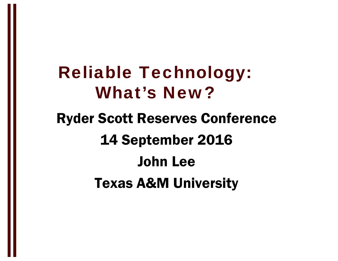### Reliable Technology: What's New?

### Ryder Scott Reserves Conference 14 September 2016 John LeeTexas A&M University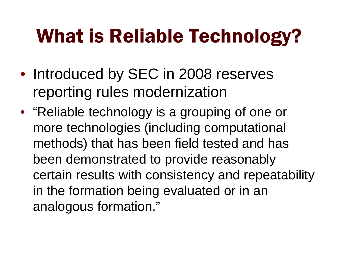## What is Reliable Technology?

- Introduced by SEC in 2008 reserves reporting rules modernization
- "Reliable technology is a grouping of one or more technologies (including computational methods) that has been field tested and has been demonstrated to provide reasonably certain results with consistency and repeatability in the formation being evaluated or in an analogous formation."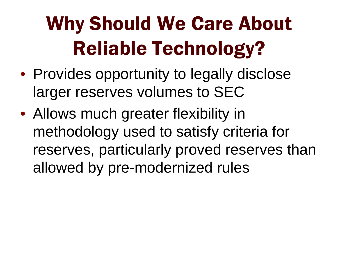# Why Should We Care About Reliable Technology?

- Provides opportunity to legally disclose larger reserves volumes to SEC
- Allows much greater flexibility in methodology used to satisfy criteria for reserves, particularly proved reserves than allowed by pre-modernized rules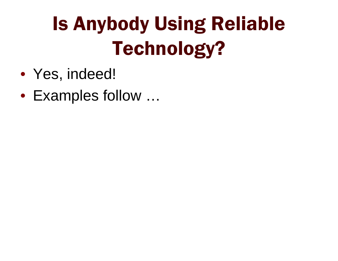# Is Anybody Using Reliable Technology?

- Yes, indeed!
- Examples follow …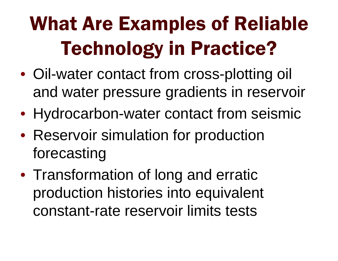# What Are Examples of Reliable Technology in Practice?

- Oil-water contact from cross-plotting oil and water pressure gradients in reservoir
- Hydrocarbon-water contact from seismic
- Reservoir simulation for production forecasting
- Transformation of long and erratic production histories into equivalent constant-rate reservoir limits tests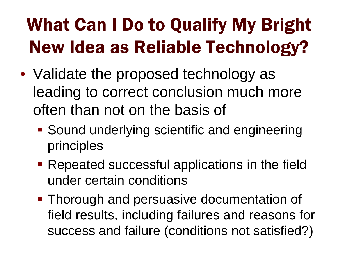### What Can I Do to Qualify My Bright New Idea as Reliable Technology?

- Validate the proposed technology as leading to correct conclusion much more often than not on the basis of
	- **Sound underlying scientific and engineering** principles
	- **Repeated successful applications in the field** under certain conditions
	- **Thorough and persuasive documentation of** field results, including failures and reasons for success and failure (conditions not satisfied?)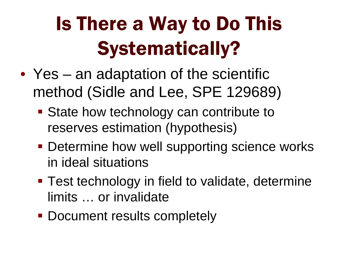# Is There a Way to Do This Systematically?

- Yes an adaptation of the scientific method (Sidle and Lee, SPE 129689)
	- **State how technology can contribute to** reserves estimation (hypothesis)
	- **Determine how well supporting science works** in ideal situations
	- **Test technology in field to validate, determine** limits … or invalidate
	- **Document results completely**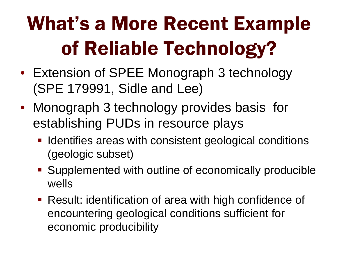# What's a More Recent Example of Reliable Technology?

- Extension of SPEE Monograph 3 technology (SPE 179991, Sidle and Lee)
- Monograph 3 technology provides basis for establishing PUDs in resource plays
	- **If Identifies areas with consistent geological conditions** (geologic subset)
	- **Supplemented with outline of economically producible** wells
	- Result: identification of area with high confidence of encountering geological conditions sufficient for economic producibility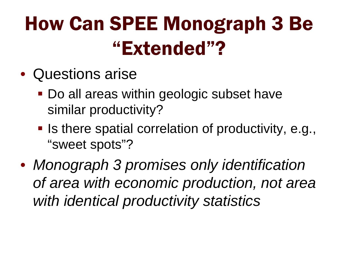## How Can SPEE Monograph 3 Be "Extended"?

- Questions arise
	- Do all areas within geologic subset have similar productivity?
	- **I** Is there spatial correlation of productivity, e.g., "sweet spots"?
- *Monograph 3 promises only identification of area with economic production, not area with identical productivity statistics*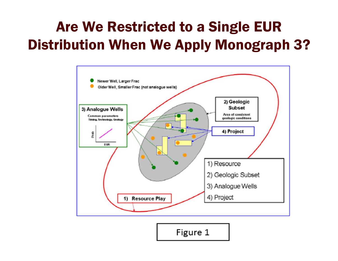#### Are We Restricted to a Single EUR Distribution When We Apply Monograph 3?



Figure 1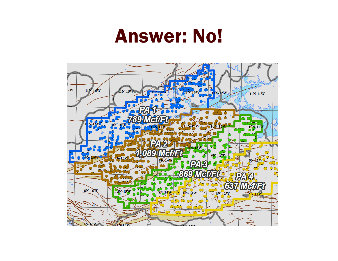### Answer: No!

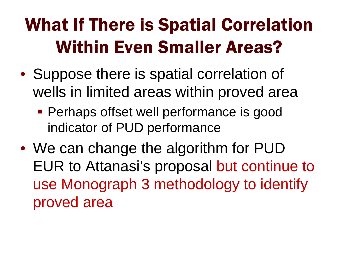### What If There is Spatial Correlation Within Even Smaller Areas?

- Suppose there is spatial correlation of wells in limited areas within proved area
	- **Perhaps offset well performance is good** indicator of PUD performance
- We can change the algorithm for PUD EUR to Attanasi's proposal but continue to use Monograph 3 methodology to identify proved area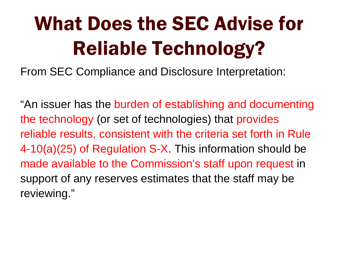# What Does the SEC Advise for Reliable Technology?

From SEC Compliance and Disclosure Interpretation:

"An issuer has the burden of establishing and documenting the technology (or set of technologies) that provides reliable results, consistent with the criteria set forth in Rule 4-10(a)(25) of Regulation S-X. This information should be made available to the Commission's staff upon request in support of any reserves estimates that the staff may be reviewing."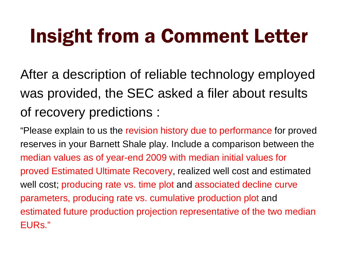## Insight from a Comment Letter

After a description of reliable technology employed was provided, the SEC asked a filer about results of recovery predictions :

"Please explain to us the revision history due to performance for proved reserves in your Barnett Shale play. Include a comparison between the median values as of year-end 2009 with median initial values for proved Estimated Ultimate Recovery, realized well cost and estimated well cost; producing rate vs. time plot and associated decline curve parameters, producing rate vs. cumulative production plot and estimated future production projection representative of the two median EURs."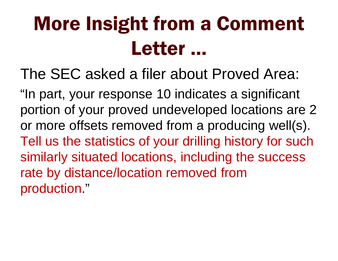## More Insight from a Comment Letter …

The SEC asked a filer about Proved Area:

"In part, your response 10 indicates a significant portion of your proved undeveloped locations are 2 or more offsets removed from a producing well(s). Tell us the statistics of your drilling history for such similarly situated locations, including the success rate by distance/location removed from production."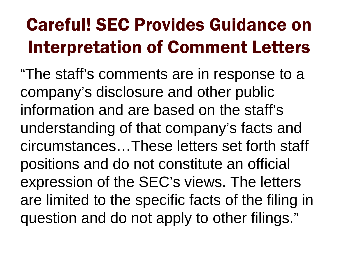### Careful! SEC Provides Guidance on Interpretation of Comment Letters

"The staff's comments are in response to a company's disclosure and other public information and are based on the staff's understanding of that company's facts and circumstances…These letters set forth staff positions and do not constitute an official expression of the SEC's views. The letters are limited to the specific facts of the filing in question and do not apply to other filings."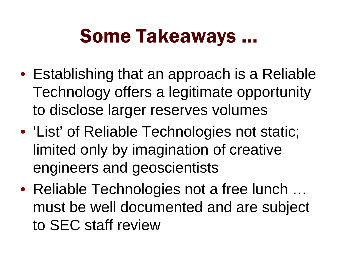### Some Takeaways …

- Establishing that an approach is a Reliable Technology offers a legitimate opportunity to disclose larger reserves volumes
- 'List' of Reliable Technologies not static; limited only by imagination of creative engineers and geoscientists
- Reliable Technologies not a free lunch … must be well documented and are subject to SEC staff review